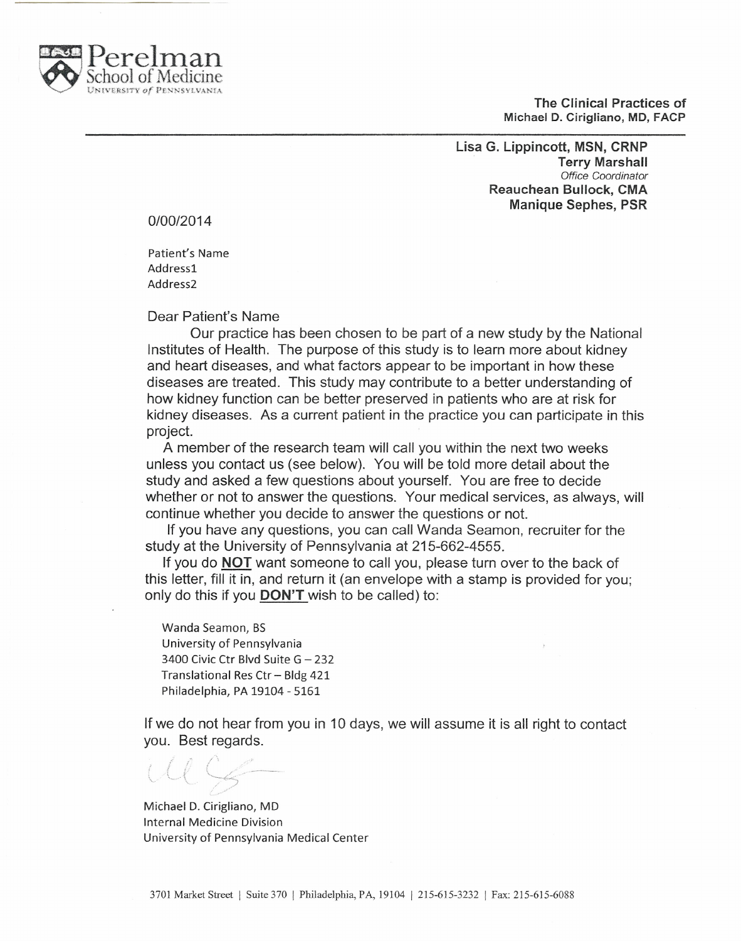

The Clinical Practices of Michael D. Cirigliano, MD, FACP

Lisa G. Lippincott, MSN, CRNP Terry Marshall *Office Coordinator* Reauchean Bullock, CMA Manique Sephes, PSR

*0100/2014*

Patient's Name Address1 Address2

Dear Patient's Name

Our practice has been chosen to be part of a new study by the National Institutes of Health. The purpose of this study is to learn more about kidney and heart diseases, and what factors appear to be important in how these diseases are treated. This study may contribute to a better understanding of how kidney function can be better preserved in patients who are at risk for kidney diseases. As a current patient in the practice you can participate in this project.

A member of the research team will call you within the next two weeks unless you contact us (see below). You will be told more detail about the study and asked a few questions about yourself. You are free to decide whether or not to answer the questions. Your medical services, as always, will continue whether you decide to answer the questions or not.

If you have any questions, you can call Wanda Seamon, recruiter for the study at the University of Pennsylvania at 215-662-4555.

If you do **NOT** want someone to call you, please turn over to the back of this letter, fill it in, and return it (an envelope with a stamp is provided for you; only do this if you DON'T wish to be called) to:

Wanda Seamon, BS University of Pennsylvania 3400 Civic Ctr Blvd Suite G - 232 Translational Res Ctr - Bldg 421 Philadelphia, PA 19104 - 5161

If we do not hear from you in 10 days, we will assume it is all right to contact you. Best regards.

v., '" /\  $($ '-''-''-''-''-''-''-'' *-:*

Michael D. Cirigliano, MD Internal Medicine Division University of Pennsylvania Medical Center